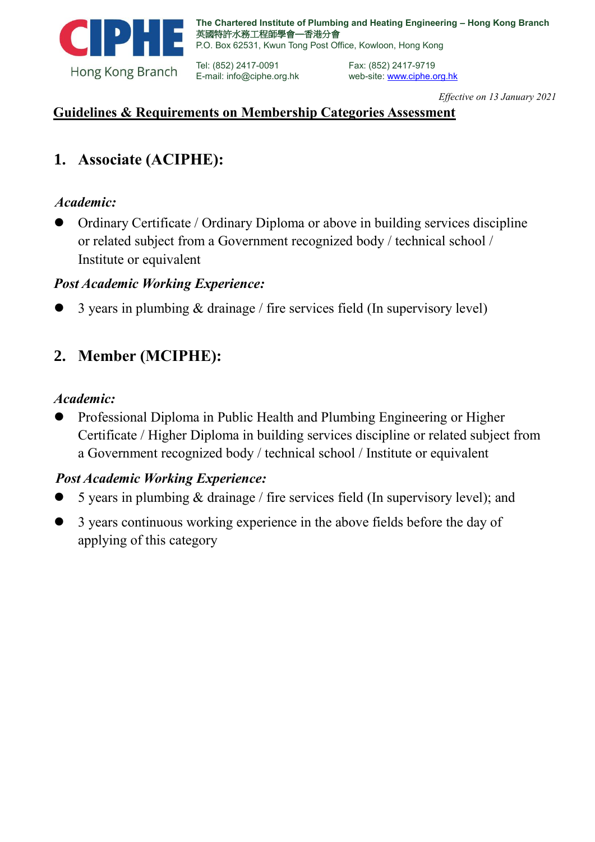

Tel: (852) 2417-0091 E-mail: info@ciphe.org.hk

web-site: www.ciphe.org.hk *Effective on 13 January 2021*

### **Guidelines & Requirements on Membership Categories Assessment**

### **1. Associate (ACIPHE):**

#### *Academic:*

⚫ Ordinary Certificate / Ordinary Diploma or above in building services discipline or related subject from a Government recognized body / technical school / Institute or equivalent

#### *Post Academic Working Experience:*

⚫ 3 years in plumbing & drainage / fire services field (In supervisory level)

# **2. Member (MCIPHE):**

#### *Academic:*

⚫ Professional Diploma in Public Health and Plumbing Engineering or Higher Certificate / Higher Diploma in building services discipline or related subject from a Government recognized body / technical school / Institute or equivalent

### *Post Academic Working Experience:*

- 5 years in plumbing  $&$  drainage / fire services field (In supervisory level); and
- ⚫ 3 years continuous working experience in the above fields before the day of applying of this category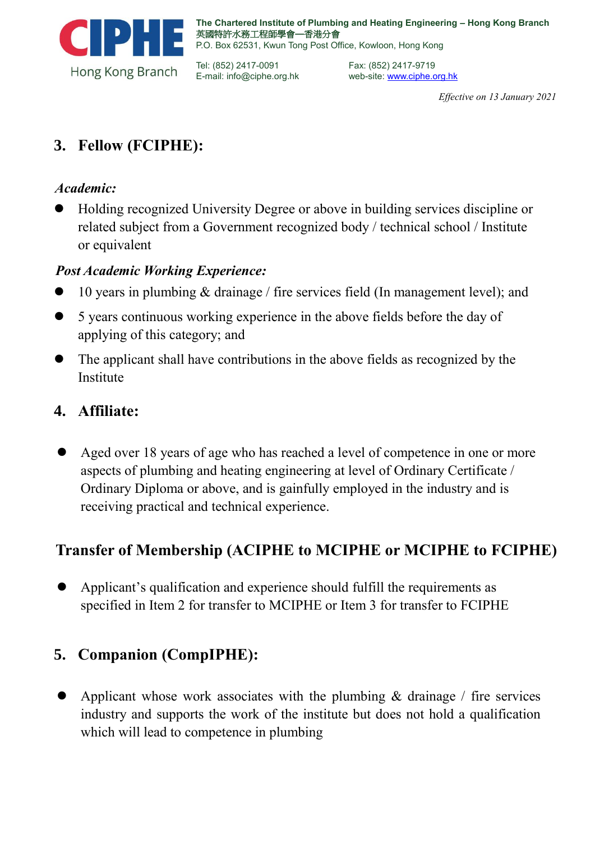

Tel: (852) 2417-0091 E-mail: info@ciphe.org.hk Fax: (852) 2417-9719 web-site[: www.ciphe.org.hk](http://www.ciphe.org.hk/) 

*Effective on 13 January 2021*

# **3. Fellow (FCIPHE):**

### *Academic:*

⚫ Holding recognized University Degree or above in building services discipline or related subject from a Government recognized body / technical school / Institute or equivalent

### *Post Academic Working Experience:*

- ⚫ 10 years in plumbing & drainage / fire services field (In management level); and
- ⚫ 5 years continuous working experience in the above fields before the day of applying of this category; and
- ⚫ The applicant shall have contributions in the above fields as recognized by the Institute

### **4. Affiliate:**

Aged over 18 years of age who has reached a level of competence in one or more aspects of plumbing and heating engineering at level of Ordinary Certificate / Ordinary Diploma or above, and is gainfully employed in the industry and is receiving practical and technical experience.

# **Transfer of Membership (ACIPHE to MCIPHE or MCIPHE to FCIPHE)**

⚫ Applicant's qualification and experience should fulfill the requirements as specified in Item 2 for transfer to MCIPHE or Item 3 for transfer to FCIPHE

# **5. Companion (CompIPHE):**

Applicant whose work associates with the plumbing  $\&$  drainage / fire services industry and supports the work of the institute but does not hold a qualification which will lead to competence in plumbing